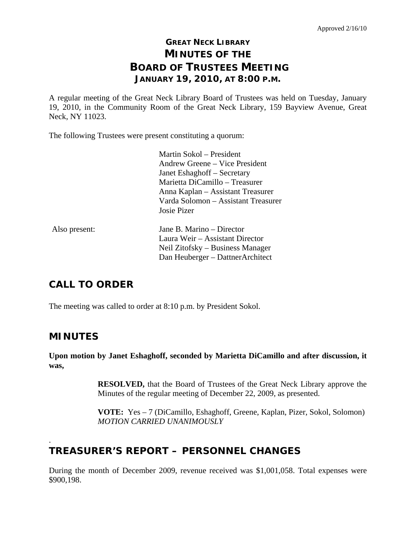# **GREAT NECK LIBRARY MINUTES OF THE BOARD OF TRUSTEES MEETING JANUARY 19, 2010, AT 8:00 P.M.**

A regular meeting of the Great Neck Library Board of Trustees was held on Tuesday, January 19, 2010, in the Community Room of the Great Neck Library, 159 Bayview Avenue, Great Neck, NY 11023.

The following Trustees were present constituting a quorum:

|               | Martin Sokol – President            |
|---------------|-------------------------------------|
|               | Andrew Greene – Vice President      |
|               | Janet Eshaghoff – Secretary         |
|               | Marietta DiCamillo - Treasurer      |
|               | Anna Kaplan – Assistant Treasurer   |
|               | Varda Solomon – Assistant Treasurer |
|               | Josie Pizer                         |
| Also present: | Jane B. Marino – Director           |
|               | Laura Weir – Assistant Director     |
|               | Neil Zitofsky – Business Manager    |
|               | Dan Heuberger - DattnerArchitect    |

# **CALL TO ORDER**

The meeting was called to order at 8:10 p.m. by President Sokol.

## **MINUTES**

.

**Upon motion by Janet Eshaghoff, seconded by Marietta DiCamillo and after discussion, it was,** 

> **RESOLVED,** that the Board of Trustees of the Great Neck Library approve the Minutes of the regular meeting of December 22, 2009, as presented.

> **VOTE:** Yes – 7 (DiCamillo, Eshaghoff, Greene, Kaplan, Pizer, Sokol, Solomon)  *MOTION CARRIED UNANIMOUSLY*

# **TREASURER'S REPORT – PERSONNEL CHANGES**

During the month of December 2009, revenue received was \$1,001,058. Total expenses were \$900,198.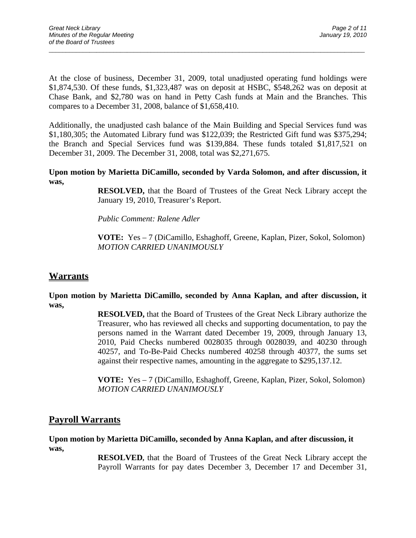At the close of business, December 31, 2009, total unadjusted operating fund holdings were \$1,874,530. Of these funds, \$1,323,487 was on deposit at HSBC, \$548,262 was on deposit at Chase Bank, and \$2,780 was on hand in Petty Cash funds at Main and the Branches. This compares to a December 31, 2008, balance of \$1,658,410.

 $\overline{a}$  , and the contribution of the contribution of the contribution of the contribution of the contribution of the contribution of the contribution of the contribution of the contribution of the contribution of the co

Additionally, the unadjusted cash balance of the Main Building and Special Services fund was \$1,180,305; the Automated Library fund was \$122,039; the Restricted Gift fund was \$375,294; the Branch and Special Services fund was \$139,884. These funds totaled \$1,817,521 on December 31, 2009. The December 31, 2008, total was \$2,271,675.

**Upon motion by Marietta DiCamillo, seconded by Varda Solomon, and after discussion, it was,** 

> **RESOLVED,** that the Board of Trustees of the Great Neck Library accept the January 19, 2010, Treasurer's Report.

*Public Comment: Ralene Adler* 

 **VOTE:** Yes – 7 (DiCamillo, Eshaghoff, Greene, Kaplan, Pizer, Sokol, Solomon)  *MOTION CARRIED UNANIMOUSLY* 

## **Warrants**

**Upon motion by Marietta DiCamillo, seconded by Anna Kaplan, and after discussion, it was,** 

> **RESOLVED,** that the Board of Trustees of the Great Neck Library authorize the Treasurer, who has reviewed all checks and supporting documentation, to pay the persons named in the Warrant dated December 19, 2009, through January 13, 2010, Paid Checks numbered 0028035 through 0028039, and 40230 through 40257, and To-Be-Paid Checks numbered 40258 through 40377, the sums set against their respective names, amounting in the aggregate to \$295,137.12.

> **VOTE:** Yes – 7 (DiCamillo, Eshaghoff, Greene, Kaplan, Pizer, Sokol, Solomon) *MOTION CARRIED UNANIMOUSLY*

## **Payroll Warrants**

### **Upon motion by Marietta DiCamillo, seconded by Anna Kaplan, and after discussion, it was,**

**RESOLVED,** that the Board of Trustees of the Great Neck Library accept the Payroll Warrants for pay dates December 3, December 17 and December 31,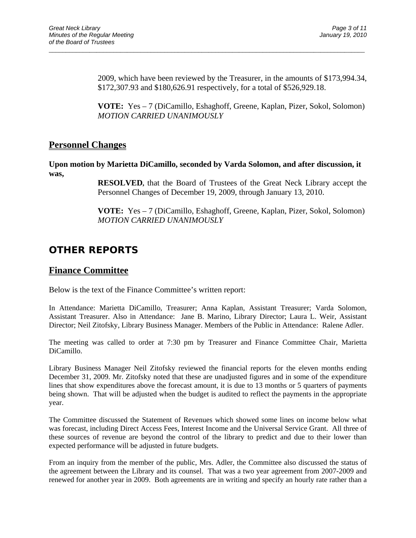2009, which have been reviewed by the Treasurer, in the amounts of \$173,994.34, \$172,307.93 and \$180,626.91 respectively, for a total of \$526,929.18.

**VOTE:** Yes – 7 (DiCamillo, Eshaghoff, Greene, Kaplan, Pizer, Sokol, Solomon) *MOTION CARRIED UNANIMOUSLY* 

## **Personnel Changes**

**Upon motion by Marietta DiCamillo, seconded by Varda Solomon, and after discussion, it was,** 

 $\overline{a}$  , and the contribution of the contribution of the contribution of the contribution of the contribution of the contribution of the contribution of the contribution of the contribution of the contribution of the co

**RESOLVED,** that the Board of Trustees of the Great Neck Library accept the Personnel Changes of December 19, 2009, through January 13, 2010.

**VOTE:** Yes – 7 (DiCamillo, Eshaghoff, Greene, Kaplan, Pizer, Sokol, Solomon) *MOTION CARRIED UNANIMOUSLY* 

# **OTHER REPORTS**

## **Finance Committee**

Below is the text of the Finance Committee's written report:

In Attendance: Marietta DiCamillo, Treasurer; Anna Kaplan, Assistant Treasurer; Varda Solomon, Assistant Treasurer. Also in Attendance: Jane B. Marino, Library Director; Laura L. Weir, Assistant Director; Neil Zitofsky, Library Business Manager. Members of the Public in Attendance:Ralene Adler.

The meeting was called to order at 7:30 pm by Treasurer and Finance Committee Chair, Marietta DiCamillo.

Library Business Manager Neil Zitofsky reviewed the financial reports for the eleven months ending December 31, 2009. Mr. Zitofsky noted that these are unadjusted figures and in some of the expenditure lines that show expenditures above the forecast amount, it is due to 13 months or 5 quarters of payments being shown. That will be adjusted when the budget is audited to reflect the payments in the appropriate year.

The Committee discussed the Statement of Revenues which showed some lines on income below what was forecast, including Direct Access Fees, Interest Income and the Universal Service Grant. All three of these sources of revenue are beyond the control of the library to predict and due to their lower than expected performance will be adjusted in future budgets.

From an inquiry from the member of the public, Mrs. Adler, the Committee also discussed the status of the agreement between the Library and its counsel. That was a two year agreement from 2007-2009 and renewed for another year in 2009. Both agreements are in writing and specify an hourly rate rather than a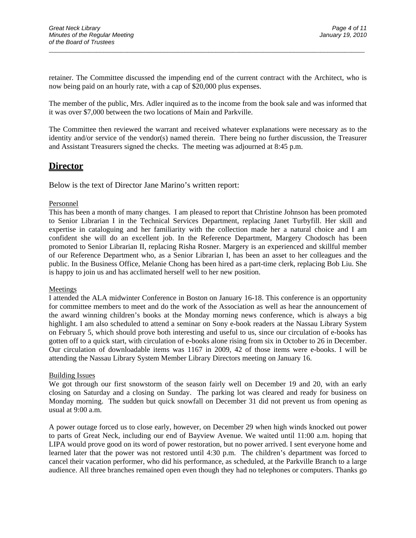retainer. The Committee discussed the impending end of the current contract with the Architect, who is now being paid on an hourly rate, with a cap of \$20,000 plus expenses.

 $\overline{a}$  , and the contribution of the contribution of the contribution of the contribution of the contribution of the contribution of the contribution of the contribution of the contribution of the contribution of the co

The member of the public, Mrs. Adler inquired as to the income from the book sale and was informed that it was over \$7,000 between the two locations of Main and Parkville.

The Committee then reviewed the warrant and received whatever explanations were necessary as to the identity and/or service of the vendor(s) named therein. There being no further discussion, the Treasurer and Assistant Treasurers signed the checks. The meeting was adjourned at 8:45 p.m.

### **Director**

Below is the text of Director Jane Marino's written report:

#### Personnel

This has been a month of many changes. I am pleased to report that Christine Johnson has been promoted to Senior Librarian I in the Technical Services Department, replacing Janet Turbyfill. Her skill and expertise in cataloguing and her familiarity with the collection made her a natural choice and I am confident she will do an excellent job. In the Reference Department, Margery Chodosch has been promoted to Senior Librarian II, replacing Risha Rosner. Margery is an experienced and skillful member of our Reference Department who, as a Senior Librarian I, has been an asset to her colleagues and the public. In the Business Office, Melanie Chong has been hired as a part-time clerk, replacing Bob Liu. She is happy to join us and has acclimated herself well to her new position.

#### Meetings

I attended the ALA midwinter Conference in Boston on January 16-18. This conference is an opportunity for committee members to meet and do the work of the Association as well as hear the announcement of the award winning children's books at the Monday morning news conference, which is always a big highlight. I am also scheduled to attend a seminar on Sony e-book readers at the Nassau Library System on February 5, which should prove both interesting and useful to us, since our circulation of e-books has gotten off to a quick start, with circulation of e-books alone rising from six in October to 26 in December. Our circulation of downloadable items was 1167 in 2009, 42 of those items were e-books. I will be attending the Nassau Library System Member Library Directors meeting on January 16.

#### Building Issues

We got through our first snowstorm of the season fairly well on December 19 and 20, with an early closing on Saturday and a closing on Sunday. The parking lot was cleared and ready for business on Monday morning. The sudden but quick snowfall on December 31 did not prevent us from opening as usual at 9:00 a.m.

A power outage forced us to close early, however, on December 29 when high winds knocked out power to parts of Great Neck, including our end of Bayview Avenue. We waited until 11:00 a.m. hoping that LIPA would prove good on its word of power restoration, but no power arrived. I sent everyone home and learned later that the power was not restored until 4:30 p.m. The children's department was forced to cancel their vacation performer, who did his performance, as scheduled, at the Parkville Branch to a large audience. All three branches remained open even though they had no telephones or computers. Thanks go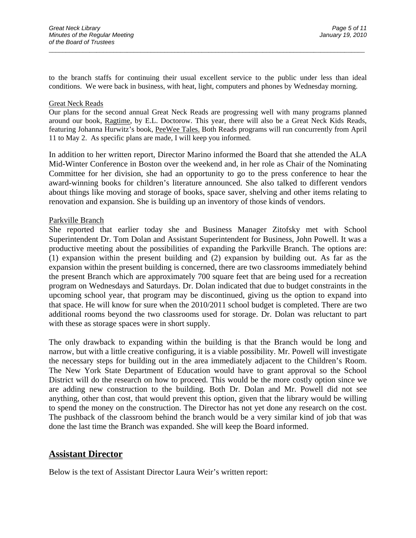to the branch staffs for continuing their usual excellent service to the public under less than ideal conditions. We were back in business, with heat, light, computers and phones by Wednesday morning.

 $\overline{a}$  , and the contribution of the contribution of the contribution of the contribution of the contribution of the contribution of the contribution of the contribution of the contribution of the contribution of the co

#### Great Neck Reads

Our plans for the second annual Great Neck Reads are progressing well with many programs planned around our book, Ragtime, by E.L. Doctorow. This year, there will also be a Great Neck Kids Reads, featuring Johanna Hurwitz's book, PeeWee Tales. Both Reads programs will run concurrently from April 11 to May 2. As specific plans are made, I will keep you informed.

In addition to her written report, Director Marino informed the Board that she attended the ALA Mid-Winter Conference in Boston over the weekend and, in her role as Chair of the Nominating Committee for her division, she had an opportunity to go to the press conference to hear the award-winning books for children's literature announced. She also talked to different vendors about things like moving and storage of books, space saver, shelving and other items relating to renovation and expansion. She is building up an inventory of those kinds of vendors.

#### Parkville Branch

She reported that earlier today she and Business Manager Zitofsky met with School Superintendent Dr. Tom Dolan and Assistant Superintendent for Business, John Powell. It was a productive meeting about the possibilities of expanding the Parkville Branch. The options are: (1) expansion within the present building and (2) expansion by building out. As far as the expansion within the present building is concerned, there are two classrooms immediately behind the present Branch which are approximately 700 square feet that are being used for a recreation program on Wednesdays and Saturdays. Dr. Dolan indicated that due to budget constraints in the upcoming school year, that program may be discontinued, giving us the option to expand into that space. He will know for sure when the 2010/2011 school budget is completed. There are two additional rooms beyond the two classrooms used for storage. Dr. Dolan was reluctant to part with these as storage spaces were in short supply.

The only drawback to expanding within the building is that the Branch would be long and narrow, but with a little creative configuring, it is a viable possibility. Mr. Powell will investigate the necessary steps for building out in the area immediately adjacent to the Children's Room. The New York State Department of Education would have to grant approval so the School District will do the research on how to proceed. This would be the more costly option since we are adding new construction to the building. Both Dr. Dolan and Mr. Powell did not see anything, other than cost, that would prevent this option, given that the library would be willing to spend the money on the construction. The Director has not yet done any research on the cost. The pushback of the classroom behind the branch would be a very similar kind of job that was done the last time the Branch was expanded. She will keep the Board informed.

### **Assistant Director**

Below is the text of Assistant Director Laura Weir's written report: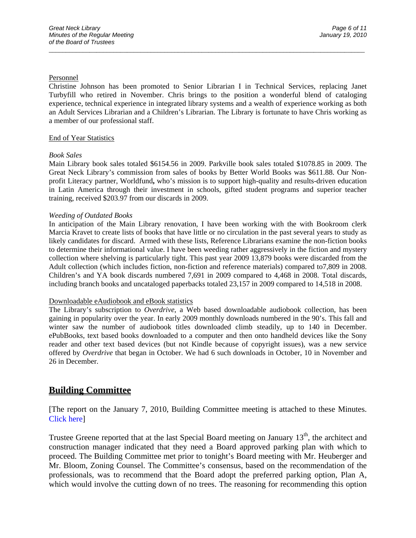#### Personnel

Christine Johnson has been promoted to Senior Librarian I in Technical Services, replacing Janet Turbyfill who retired in November. Chris brings to the position a wonderful blend of cataloging experience, technical experience in integrated library systems and a wealth of experience working as both an Adult Services Librarian and a Children's Librarian. The Library is fortunate to have Chris working as a member of our professional staff.

 $\overline{a}$  , and the contribution of the contribution of the contribution of the contribution of the contribution of the contribution of the contribution of the contribution of the contribution of the contribution of the co

#### End of Year Statistics

#### *Book Sales*

Main Library book sales totaled \$6154.56 in 2009. Parkville book sales totaled \$1078.85 in 2009. The Great Neck Library's commission from sales of books by Better World Books was \$611.88. Our Nonprofit Literacy partner, Worldfund**,** who's mission is to support high-quality and results-driven education in Latin America through their investment in schools, gifted student programs and superior teacher training, received \$203.97 from our discards in 2009.

#### *Weeding of Outdated Books*

In anticipation of the Main Library renovation, I have been working with the with Bookroom clerk Marcia Kravet to create lists of books that have little or no circulation in the past several years to study as likely candidates for discard. Armed with these lists, Reference Librarians examine the non-fiction books to determine their informational value. I have been weeding rather aggressively in the fiction and mystery collection where shelving is particularly tight. This past year 2009 13,879 books were discarded from the Adult collection (which includes fiction, non-fiction and reference materials) compared to7,809 in 2008. Children's and YA book discards numbered 7,691 in 2009 compared to 4,468 in 2008. Total discards, including branch books and uncataloged paperbacks totaled 23,157 in 2009 compared to 14,518 in 2008.

#### Downloadable eAudiobook and eBook statistics

The Library's subscription to *Overdrive*, a Web based downloadable audiobook collection, has been gaining in popularity over the year. In early 2009 monthly downloads numbered in the 90's. This fall and winter saw the number of audiobook titles downloaded climb steadily, up to 140 in December. ePubBooks, text based books downloaded to a computer and then onto handheld devices like the Sony reader and other text based devices (but not Kindle because of copyright issues), was a new service offered by *Overdrive* that began in October. We had 6 such downloads in October, 10 in November and 26 in December.

## **Building Committee**

[The report on the January 7, 2010, Building Committee meeting is attached to these Minutes. Click here]

Trustee Greene reported that at the last Special Board meeting on January  $13<sup>th</sup>$ , the architect and construction manager indicated that they need a Board approved parking plan with which to proceed. The Building Committee met prior to tonight's Board meeting with Mr. Heuberger and Mr. Bloom, Zoning Counsel. The Committee's consensus, based on the recommendation of the professionals, was to recommend that the Board adopt the preferred parking option, Plan A, which would involve the cutting down of no trees. The reasoning for recommending this option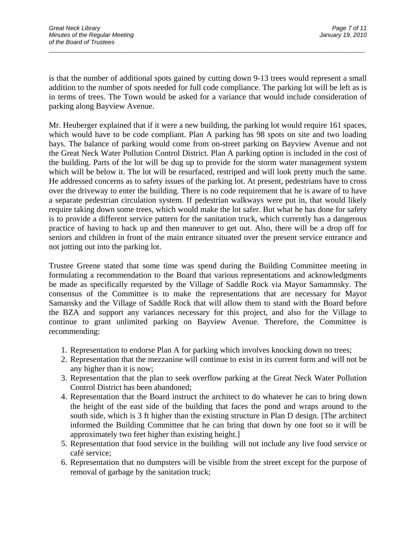is that the number of additional spots gained by cutting down 9-13 trees would represent a small addition to the number of spots needed for full code compliance. The parking lot will be left as is in terms of trees. The Town would be asked for a variance that would include consideration of parking along Bayview Avenue.

 $\overline{a}$  , and the contribution of the contribution of the contribution of the contribution of the contribution of the contribution of the contribution of the contribution of the contribution of the contribution of the co

Mr. Heuberger explained that if it were a new building, the parking lot would require 161 spaces, which would have to be code compliant. Plan A parking has 98 spots on site and two loading bays. The balance of parking would come from on-street parking on Bayview Avenue and not the Great Neck Water Pollution Control District. Plan A parking option is included in the cost of the building. Parts of the lot will be dug up to provide for the storm water management system which will be below it. The lot will be resurfaced, restriped and will look pretty much the same. He addressed concerns as to safety issues of the parking lot. At present, pedestrians have to cross over the driveway to enter the building. There is no code requirement that he is aware of to have a separate pedestrian circulation system. If pedestrian walkways were put in, that would likely require taking down some trees, which would make the lot safer. But what he has done for safety is to provide a different service pattern for the sanitation truck, which currently has a dangerous practice of having to back up and then maneuver to get out. Also, there will be a drop off for seniors and children in front of the main entrance situated over the present service entrance and not jotting out into the parking lot.

Trustee Greene stated that some time was spend during the Building Committee meeting in formulating a recommendation to the Board that various representations and acknowledgments be made as specifically requested by the Village of Saddle Rock via Mayor Samamnsky. The consensus of the Committee is to make the representations that are necessary for Mayor Samansky and the Village of Saddle Rock that will allow them to stand with the Board before the BZA and support any variances necessary for this project, and also for the Village to continue to grant unlimited parking on Bayview Avenue. Therefore, the Committee is recommending:

- 1. Representation to endorse Plan A for parking which involves knocking down no trees;
- 2. Representation that the mezzanine will continue to exist in its current form and will not be any higher than it is now;
- 3. Representation that the plan to seek overflow parking at the Great Neck Water Pollution Control District has been abandoned;
- 4. Representation that the Board instruct the architect to do whatever he can to bring down the height of the east side of the building that faces the pond and wraps around to the south side, which is 3 ft higher than the existing structure in Plan D design. [The architect informed the Building Committee that he can bring that down by one foot so it will be approximately two feet higher than existing height.]
- 5. Representation that food service in the building will not include any live food service or café service;
- 6. Representation that no dumpsters will be visible from the street except for the purpose of removal of garbage by the sanitation truck;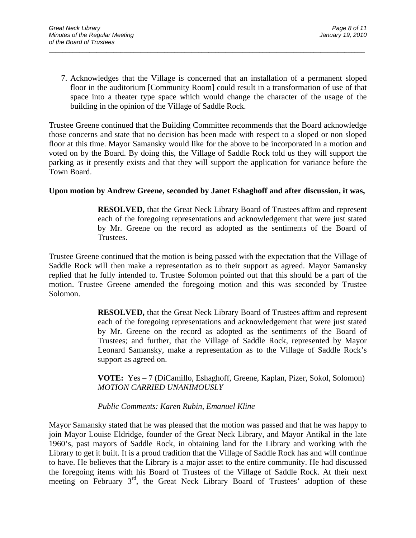7. Acknowledges that the Village is concerned that an installation of a permanent sloped floor in the auditorium [Community Room] could result in a transformation of use of that space into a theater type space which would change the character of the usage of the building in the opinion of the Village of Saddle Rock.

 $\overline{a}$  , and the contribution of the contribution of the contribution of the contribution of the contribution of the contribution of the contribution of the contribution of the contribution of the contribution of the co

Trustee Greene continued that the Building Committee recommends that the Board acknowledge those concerns and state that no decision has been made with respect to a sloped or non sloped floor at this time. Mayor Samansky would like for the above to be incorporated in a motion and voted on by the Board. By doing this, the Village of Saddle Rock told us they will support the parking as it presently exists and that they will support the application for variance before the Town Board.

### **Upon motion by Andrew Greene, seconded by Janet Eshaghoff and after discussion, it was,**

**RESOLVED,** that the Great Neck Library Board of Trustees affirm and represent each of the foregoing representations and acknowledgement that were just stated by Mr. Greene on the record as adopted as the sentiments of the Board of Trustees.

Trustee Greene continued that the motion is being passed with the expectation that the Village of Saddle Rock will then make a representation as to their support as agreed. Mayor Samansky replied that he fully intended to. Trustee Solomon pointed out that this should be a part of the motion. Trustee Greene amended the foregoing motion and this was seconded by Trustee Solomon.

> **RESOLVED,** that the Great Neck Library Board of Trustees affirm and represent each of the foregoing representations and acknowledgement that were just stated by Mr. Greene on the record as adopted as the sentiments of the Board of Trustees; and further, that the Village of Saddle Rock, represented by Mayor Leonard Samansky, make a representation as to the Village of Saddle Rock's support as agreed on.

> **VOTE:** Yes – 7 (DiCamillo, Eshaghoff, Greene, Kaplan, Pizer, Sokol, Solomon) *MOTION CARRIED UNANIMOUSLY*

### *Public Comments: Karen Rubin, Emanuel Kline*

Mayor Samansky stated that he was pleased that the motion was passed and that he was happy to join Mayor Louise Eldridge, founder of the Great Neck Library, and Mayor Antikal in the late 1960's, past mayors of Saddle Rock, in obtaining land for the Library and working with the Library to get it built. It is a proud tradition that the Village of Saddle Rock has and will continue to have. He believes that the Library is a major asset to the entire community. He had discussed the foregoing items with his Board of Trustees of the Village of Saddle Rock. At their next meeting on February 3<sup>rd</sup>, the Great Neck Library Board of Trustees' adoption of these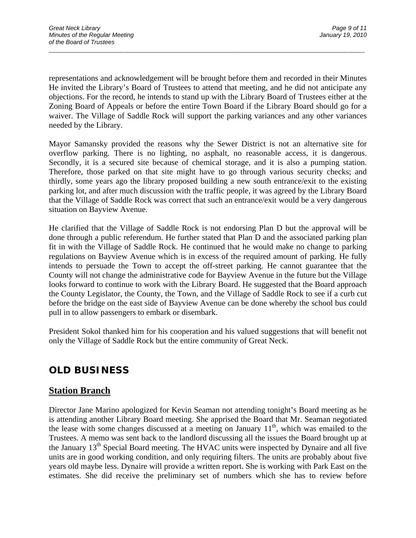representations and acknowledgement will be brought before them and recorded in their Minutes He invited the Library's Board of Trustees to attend that meeting, and he did not anticipate any objections. For the record, he intends to stand up with the Library Board of Trustees either at the Zoning Board of Appeals or before the entire Town Board if the Library Board should go for a waiver. The Village of Saddle Rock will support the parking variances and any other variances needed by the Library.

 $\overline{a}$  , and the contribution of the contribution of the contribution of the contribution of the contribution of the contribution of the contribution of the contribution of the contribution of the contribution of the co

Mayor Samansky provided the reasons why the Sewer District is not an alternative site for overflow parking. There is no lighting, no asphalt, no reasonable access, it is dangerous. Secondly, it is a secured site because of chemical storage, and it is also a pumping station. Therefore, those parked on that site might have to go through various security checks; and thirdly, some years ago the library proposed building a new south entrance/exit to the existing parking lot, and after much discussion with the traffic people, it was agreed by the Library Board that the Village of Saddle Rock was correct that such an entrance/exit would be a very dangerous situation on Bayview Avenue.

He clarified that the Village of Saddle Rock is not endorsing Plan D but the approval will be done through a public referendum. He further stated that Plan D and the associated parking plan fit in with the Village of Saddle Rock. He continued that he would make no change to parking regulations on Bayview Avenue which is in excess of the required amount of parking. He fully intends to persuade the Town to accept the off-street parking. He cannot guarantee that the County will not change the administrative code for Bayview Avenue in the future but the Village looks forward to continue to work with the Library Board. He suggested that the Board approach the County Legislator, the County, the Town, and the Village of Saddle Rock to see if a curb cut before the bridge on the east side of Bayview Avenue can be done whereby the school bus could pull in to allow passengers to embark or disembark.

President Sokol thanked him for his cooperation and his valued suggestions that will benefit not only the Village of Saddle Rock but the entire community of Great Neck.

## **OLD BUSINESS**

## **Station Branch**

Director Jane Marino apologized for Kevin Seaman not attending tonight's Board meeting as he is attending another Library Board meeting. She apprised the Board that Mr. Seaman negotiated the lease with some changes discussed at a meeting on January  $11<sup>th</sup>$ , which was emailed to the Trustees. A memo was sent back to the landlord discussing all the issues the Board brought up at the January 13<sup>th</sup> Special Board meeting. The HVAC units were inspected by Dynaire and all five units are in good working condition, and only requiring filters. The units are probably about five years old maybe less. Dynaire will provide a written report. She is working with Park East on the estimates. She did receive the preliminary set of numbers which she has to review before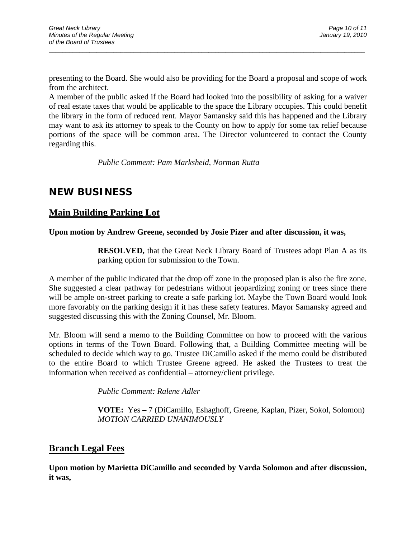presenting to the Board. She would also be providing for the Board a proposal and scope of work from the architect.

 $\overline{a}$  , and the contribution of the contribution of the contribution of the contribution of the contribution of the contribution of the contribution of the contribution of the contribution of the contribution of the co

A member of the public asked if the Board had looked into the possibility of asking for a waiver of real estate taxes that would be applicable to the space the Library occupies. This could benefit the library in the form of reduced rent. Mayor Samansky said this has happened and the Library may want to ask its attorney to speak to the County on how to apply for some tax relief because portions of the space will be common area. The Director volunteered to contact the County regarding this.

*Public Comment: Pam Marksheid, Norman Rutta* 

# **NEW BUSINESS**

## **Main Building Parking Lot**

### **Upon motion by Andrew Greene, seconded by Josie Pizer and after discussion, it was,**

**RESOLVED,** that the Great Neck Library Board of Trustees adopt Plan A as its parking option for submission to the Town.

A member of the public indicated that the drop off zone in the proposed plan is also the fire zone. She suggested a clear pathway for pedestrians without jeopardizing zoning or trees since there will be ample on-street parking to create a safe parking lot. Maybe the Town Board would look more favorably on the parking design if it has these safety features. Mayor Samansky agreed and suggested discussing this with the Zoning Counsel, Mr. Bloom.

Mr. Bloom will send a memo to the Building Committee on how to proceed with the various options in terms of the Town Board. Following that, a Building Committee meeting will be scheduled to decide which way to go. Trustee DiCamillo asked if the memo could be distributed to the entire Board to which Trustee Greene agreed. He asked the Trustees to treat the information when received as confidential – attorney/client privilege.

 *Public Comment: Ralene Adler* 

 **VOTE:** Yes **–** 7 (DiCamillo, Eshaghoff, Greene, Kaplan, Pizer, Sokol, Solomon)  *MOTION CARRIED UNANIMOUSLY* 

## **Branch Legal Fees**

**Upon motion by Marietta DiCamillo and seconded by Varda Solomon and after discussion, it was,**